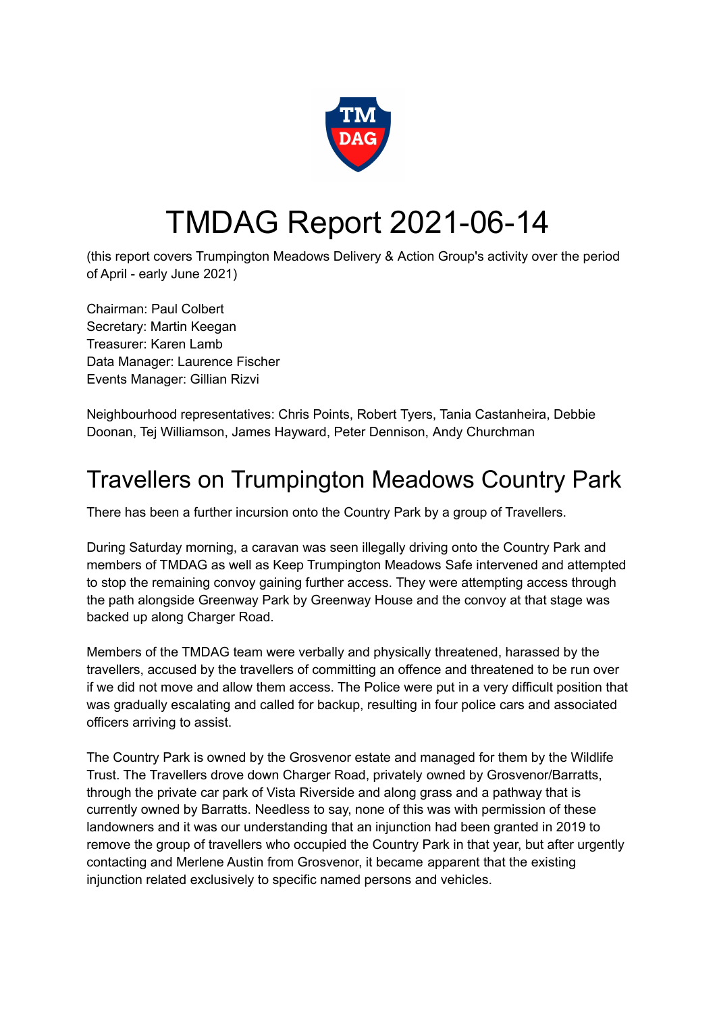

# TMDAG Report 2021-06-14

(this report covers Trumpington Meadows Delivery & Action Group's activity over the period of April - early June 2021)

Chairman: Paul Colbert Secretary: Martin Keegan Treasurer: Karen Lamb Data Manager: Laurence Fischer Events Manager: Gillian Rizvi

Neighbourhood representatives: Chris Points, Robert Tyers, Tania Castanheira, Debbie Doonan, Tej Williamson, James Hayward, Peter Dennison, Andy Churchman

## Travellers on Trumpington Meadows Country Park

There has been a further incursion onto the Country Park by a group of Travellers.

During Saturday morning, a caravan was seen illegally driving onto the Country Park and members of TMDAG as well as Keep Trumpington Meadows Safe intervened and attempted to stop the remaining convoy gaining further access. They were attempting access through the path alongside Greenway Park by Greenway House and the convoy at that stage was backed up along Charger Road.

Members of the TMDAG team were verbally and physically threatened, harassed by the travellers, accused by the travellers of committing an offence and threatened to be run over if we did not move and allow them access. The Police were put in a very difficult position that was gradually escalating and called for backup, resulting in four police cars and associated officers arriving to assist.

The Country Park is owned by the Grosvenor estate and managed for them by the Wildlife Trust. The Travellers drove down Charger Road, privately owned by Grosvenor/Barratts, through the private car park of Vista Riverside and along grass and a pathway that is currently owned by Barratts. Needless to say, none of this was with permission of these landowners and it was our understanding that an injunction had been granted in 2019 to remove the group of travellers who occupied the Country Park in that year, but after urgently contacting and Merlene Austin from Grosvenor, it became apparent that the existing injunction related exclusively to specific named persons and vehicles.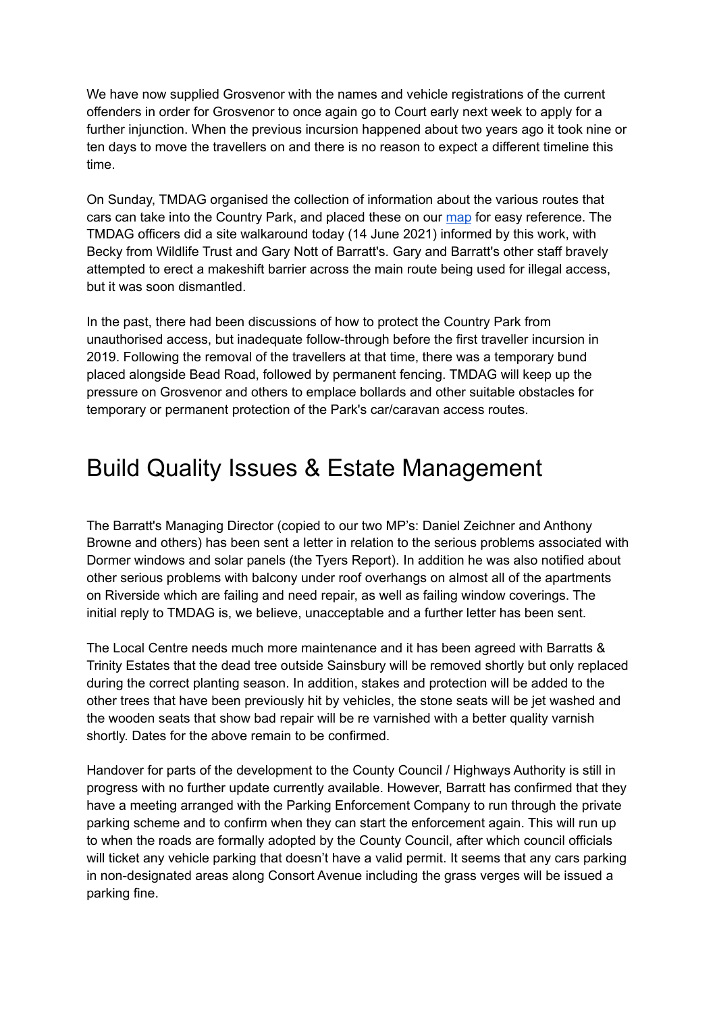We have now supplied Grosvenor with the names and vehicle registrations of the current offenders in order for Grosvenor to once again go to Court early next week to apply for a further injunction. When the previous incursion happened about two years ago it took nine or ten days to move the travellers on and there is no reason to expect a different timeline this time.

On Sunday, TMDAG organised the collection of information about the various routes that cars can take into the Country Park, and placed these on our [map](https://umap.openstreetmap.fr/en/map/tmdag-problems-and-places_485607#16/52.1689/0.1009) for easy reference. The TMDAG officers did a site walkaround today (14 June 2021) informed by this work, with Becky from Wildlife Trust and Gary Nott of Barratt's. Gary and Barratt's other staff bravely attempted to erect a makeshift barrier across the main route being used for illegal access, but it was soon dismantled.

In the past, there had been discussions of how to protect the Country Park from unauthorised access, but inadequate follow-through before the first traveller incursion in 2019. Following the removal of the travellers at that time, there was a temporary bund placed alongside Bead Road, followed by permanent fencing. TMDAG will keep up the pressure on Grosvenor and others to emplace bollards and other suitable obstacles for temporary or permanent protection of the Park's car/caravan access routes.

### Build Quality Issues & Estate Management

The Barratt's Managing Director (copied to our two MP's: Daniel Zeichner and Anthony Browne and others) has been sent a letter in relation to the serious problems associated with Dormer windows and solar panels (the Tyers Report). In addition he was also notified about other serious problems with balcony under roof overhangs on almost all of the apartments on Riverside which are failing and need repair, as well as failing window coverings. The initial reply to TMDAG is, we believe, unacceptable and a further letter has been sent.

The Local Centre needs much more maintenance and it has been agreed with Barratts & Trinity Estates that the dead tree outside Sainsbury will be removed shortly but only replaced during the correct planting season. In addition, stakes and protection will be added to the other trees that have been previously hit by vehicles, the stone seats will be jet washed and the wooden seats that show bad repair will be re varnished with a better quality varnish shortly. Dates for the above remain to be confirmed.

Handover for parts of the development to the County Council / Highways Authority is still in progress with no further update currently available. However, Barratt has confirmed that they have a meeting arranged with the Parking Enforcement Company to run through the private parking scheme and to confirm when they can start the enforcement again. This will run up to when the roads are formally adopted by the County Council, after which council officials will ticket any vehicle parking that doesn't have a valid permit. It seems that any cars parking in non-designated areas along Consort Avenue including the grass verges will be issued a parking fine.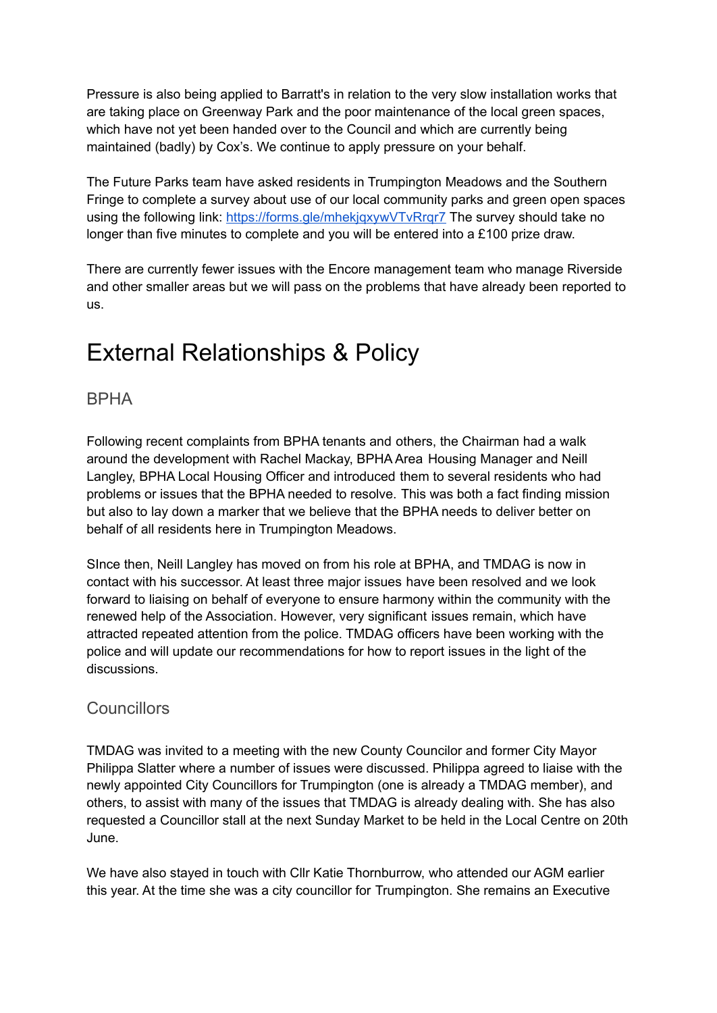Pressure is also being applied to Barratt's in relation to the very slow installation works that are taking place on Greenway Park and the poor maintenance of the local green spaces, which have not yet been handed over to the Council and which are currently being maintained (badly) by Cox's. We continue to apply pressure on your behalf.

The Future Parks team have asked residents in Trumpington Meadows and the Southern Fringe to complete a survey about use of our local community parks and green open spaces using the following link: <https://forms.gle/mhekjqxywVTvRrqr7> The survey should take no longer than five minutes to complete and you will be entered into a £100 prize draw.

There are currently fewer issues with the Encore management team who manage Riverside and other smaller areas but we will pass on the problems that have already been reported to us.

# External Relationships & Policy

#### BPHA

Following recent complaints from BPHA tenants and others, the Chairman had a walk around the development with Rachel Mackay, BPHA Area Housing Manager and Neill Langley, BPHA Local Housing Officer and introduced them to several residents who had problems or issues that the BPHA needed to resolve. This was both a fact finding mission but also to lay down a marker that we believe that the BPHA needs to deliver better on behalf of all residents here in Trumpington Meadows.

SInce then, Neill Langley has moved on from his role at BPHA, and TMDAG is now in contact with his successor. At least three major issues have been resolved and we look forward to liaising on behalf of everyone to ensure harmony within the community with the renewed help of the Association. However, very significant issues remain, which have attracted repeated attention from the police. TMDAG officers have been working with the police and will update our recommendations for how to report issues in the light of the discussions.

#### Councillors

TMDAG was invited to a meeting with the new County Councilor and former City Mayor Philippa Slatter where a number of issues were discussed. Philippa agreed to liaise with the newly appointed City Councillors for Trumpington (one is already a TMDAG member), and others, to assist with many of the issues that TMDAG is already dealing with. She has also requested a Councillor stall at the next Sunday Market to be held in the Local Centre on 20th June.

We have also stayed in touch with Cllr Katie Thornburrow, who attended our AGM earlier this year. At the time she was a city councillor for Trumpington. She remains an Executive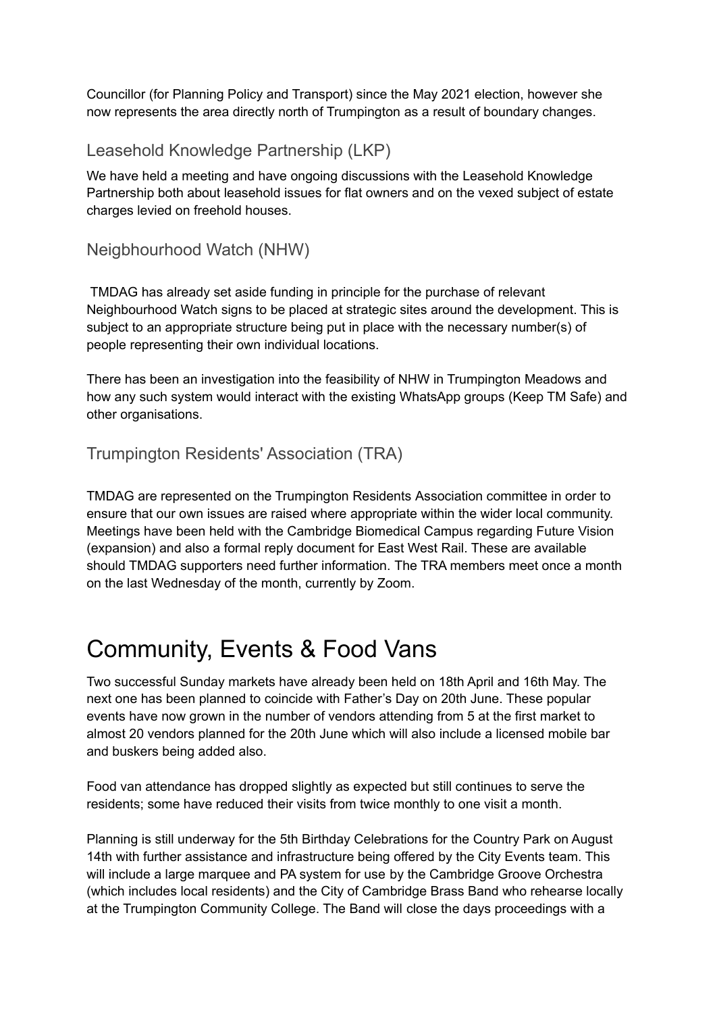Councillor (for Planning Policy and Transport) since the May 2021 election, however she now represents the area directly north of Trumpington as a result of boundary changes.

#### Leasehold Knowledge Partnership (LKP)

We have held a meeting and have ongoing discussions with the Leasehold Knowledge Partnership both about leasehold issues for flat owners and on the vexed subject of estate charges levied on freehold houses.

#### Neigbhourhood Watch (NHW)

TMDAG has already set aside funding in principle for the purchase of relevant Neighbourhood Watch signs to be placed at strategic sites around the development. This is subject to an appropriate structure being put in place with the necessary number(s) of people representing their own individual locations.

There has been an investigation into the feasibility of NHW in Trumpington Meadows and how any such system would interact with the existing WhatsApp groups (Keep TM Safe) and other organisations.

#### Trumpington Residents' Association (TRA)

TMDAG are represented on the Trumpington Residents Association committee in order to ensure that our own issues are raised where appropriate within the wider local community. Meetings have been held with the Cambridge Biomedical Campus regarding Future Vision (expansion) and also a formal reply document for East West Rail. These are available should TMDAG supporters need further information. The TRA members meet once a month on the last Wednesday of the month, currently by Zoom.

### Community, Events & Food Vans

Two successful Sunday markets have already been held on 18th April and 16th May. The next one has been planned to coincide with Father's Day on 20th June. These popular events have now grown in the number of vendors attending from 5 at the first market to almost 20 vendors planned for the 20th June which will also include a licensed mobile bar and buskers being added also.

Food van attendance has dropped slightly as expected but still continues to serve the residents; some have reduced their visits from twice monthly to one visit a month.

Planning is still underway for the 5th Birthday Celebrations for the Country Park on August 14th with further assistance and infrastructure being offered by the City Events team. This will include a large marquee and PA system for use by the Cambridge Groove Orchestra (which includes local residents) and the City of Cambridge Brass Band who rehearse locally at the Trumpington Community College. The Band will close the days proceedings with a